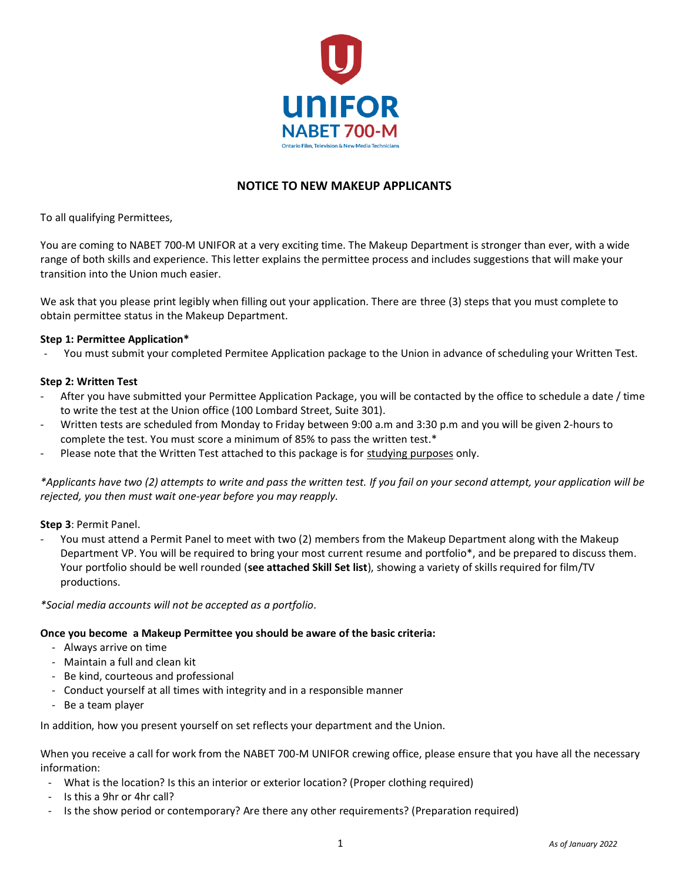

## **NOTICE TO NEW MAKEUP APPLICANTS**

To all qualifying Permittees,

You are coming to NABET 700-M UNIFOR at a very exciting time. The Makeup Department is stronger than ever, with a wide range of both skills and experience. This letter explains the permittee process and includes suggestions that will make your transition into the Union much easier.

We ask that you please print legibly when filling out your application. There are three (3) steps that you must complete to obtain permittee status in the Makeup Department.

### **Step 1: Permittee Application\***

- You must submit your completed Permitee Application package to the Union in advance of scheduling your Written Test.

#### **Step 2: Written Test**

- After you have submitted your Permittee Application Package, you will be contacted by the office to schedule a date / time to write the test at the Union office (100 Lombard Street, Suite 301).
- Written tests are scheduled from Monday to Friday between 9:00 a.m and 3:30 p.m and you will be given 2-hours to complete the test. You must score a minimum of 85% to pass the written test.\*
- Please note that the Written Test attached to this package is for studying purposes only.

*\*Applicants have two (2) attempts to write and pass the written test. If you fail on your second attempt, your application will be rejected, you then must wait one-year before you may reapply.*

**Step 3**: Permit Panel.

You must attend a Permit Panel to meet with two (2) members from the Makeup Department along with the Makeup Department VP. You will be required to bring your most current resume and portfolio\*, and be prepared to discuss them. Your portfolio should be well rounded (**see attached Skill Set list**), showing a variety of skills required for film/TV productions.

*\*Social media accounts will not be accepted as a portfolio.*

## **Once you become a Makeup Permittee you should be aware of the basic criteria:**

- Always arrive on time
- Maintain a full and clean kit
- Be kind, courteous and professional
- Conduct yourself at all times with integrity and in a responsible manner
- Be a team player

In addition, how you present yourself on set reflects your department and the Union.

When you receive a call for work from the NABET 700-M UNIFOR crewing office, please ensure that you have all the necessary information:

- What is the location? Is this an interior or exterior location? (Proper clothing required)
- Is this a 9hr or 4hr call?
- Is the show period or contemporary? Are there any other requirements? (Preparation required)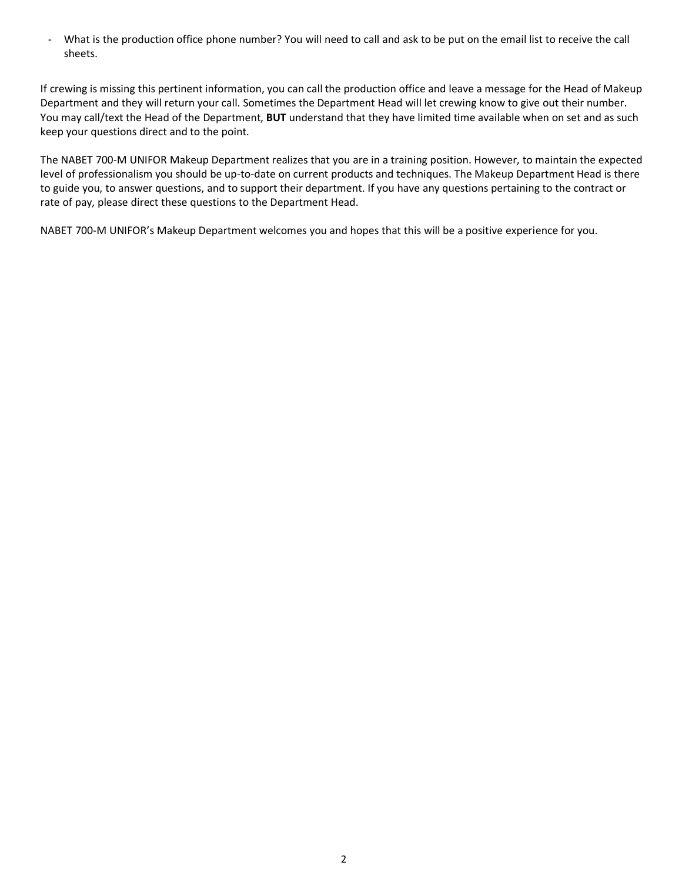- What is the production office phone number? You will need to call and ask to be put on the email list to receive the call sheets.

If crewing is missing this pertinent information, you can call the production office and leave a message for the Head of Makeup Department and they will return your call. Sometimes the Department Head will let crewing know to give out their number. You may call/text the Head of the Department, **BUT** understand that they have limited time available when on set and as such keep your questions direct and to the point.

The NABET 700-M UNIFOR Makeup Department realizes that you are in a training position. However, to maintain the expected level of professionalism you should be up-to-date on current products and techniques. The Makeup Department Head is there to guide you, to answer questions, and to support their department. If you have any questions pertaining to the contract or rate of pay, please direct these questions to the Department Head.

NABET 700-M UNIFOR's Makeup Department welcomes you and hopes that this will be a positive experience for you.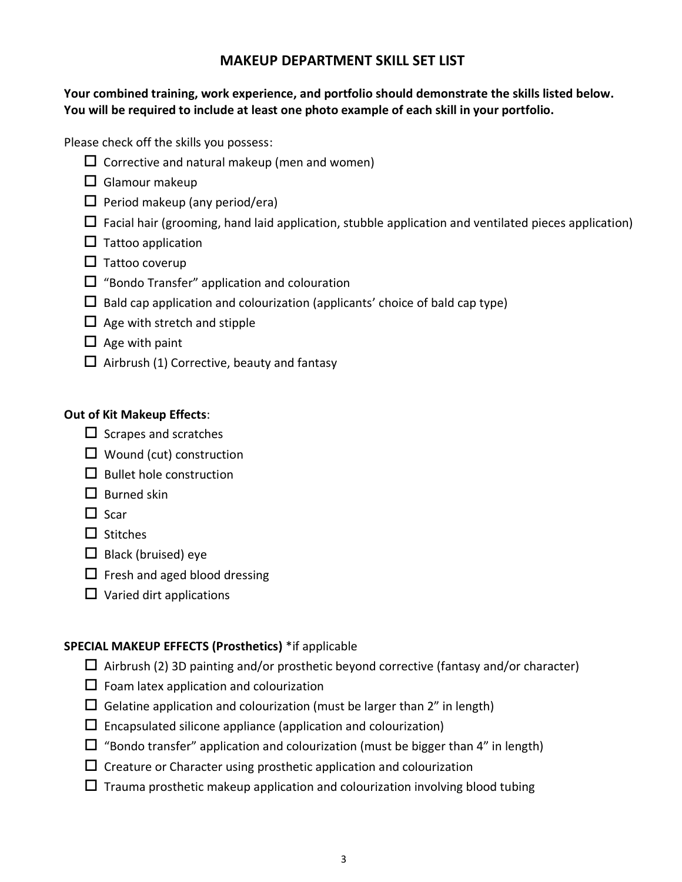# **MAKEUP DEPARTMENT SKILL SET LIST**

# **Your combined training, work experience, and portfolio should demonstrate the skills listed below. You will be required to include at least one photo example of each skill in your portfolio.**

Please check off the skills you possess:

- $\Box$  Corrective and natural makeup (men and women)
- $\Box$  Glamour makeup
- $\Box$  Period makeup (any period/era)
- $\Box$  Facial hair (grooming, hand laid application, stubble application and ventilated pieces application)
- $\square$  Tattoo application
- $\Box$  Tattoo coverup
- $\Box$  "Bondo Transfer" application and colouration
- $\Box$  Bald cap application and colourization (applicants' choice of bald cap type)
- $\Box$  Age with stretch and stipple
- $\Box$  Age with paint
- $\Box$  Airbrush (1) Corrective, beauty and fantasy

## **Out of Kit Makeup Effects**:

- $\Box$  Scrapes and scratches
- $\Box$  Wound (cut) construction
- $\Box$  Bullet hole construction
- $\square$  Burned skin
- $\Box$  Scar
- $\square$  Stitches
- $\Box$  Black (bruised) eye
- $\Box$  Fresh and aged blood dressing
- $\Box$  Varied dirt applications

# **SPECIAL MAKEUP EFFECTS (Prosthetics)** \*if applicable

- $\Box$  Airbrush (2) 3D painting and/or prosthetic beyond corrective (fantasy and/or character)
- $\Box$  Foam latex application and colourization
- $\square$  Gelatine application and colourization (must be larger than 2" in length)
- $\square$  Encapsulated silicone appliance (application and colourization)
- $\Box$  "Bondo transfer" application and colourization (must be bigger than 4" in length)
- $\Box$  Creature or Character using prosthetic application and colourization
- $\Box$  Trauma prosthetic makeup application and colourization involving blood tubing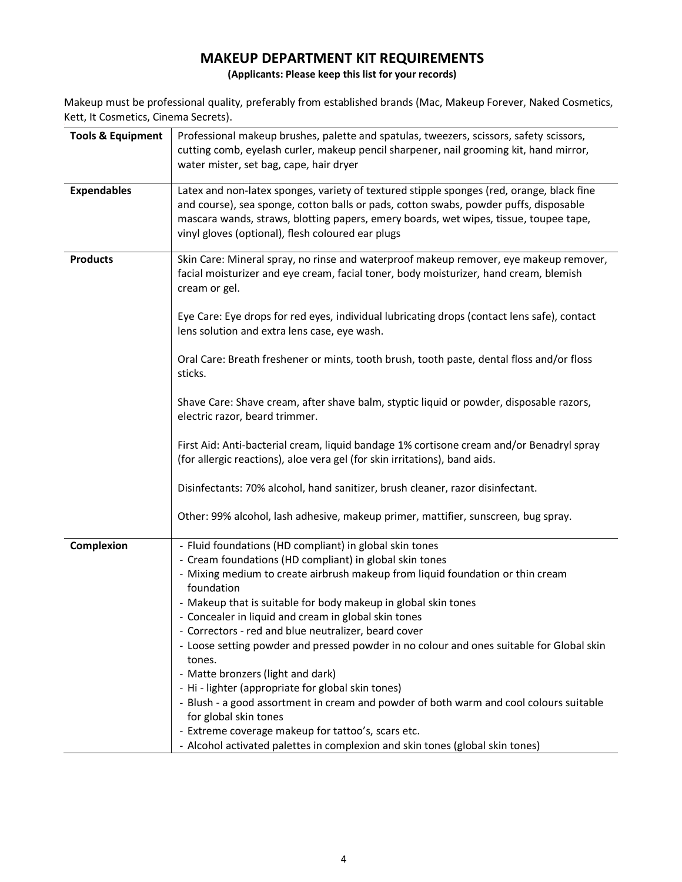# **MAKEUP DEPARTMENT KIT REQUIREMENTS**

**(Applicants: Please keep this list for your records)**

Makeup must be professional quality, preferably from established brands (Mac, Makeup Forever, Naked Cosmetics, Kett, It Cosmetics, Cinema Secrets).

| <b>Tools &amp; Equipment</b> | Professional makeup brushes, palette and spatulas, tweezers, scissors, safety scissors,<br>cutting comb, eyelash curler, makeup pencil sharpener, nail grooming kit, hand mirror,<br>water mister, set bag, cape, hair dryer                                                                                                     |
|------------------------------|----------------------------------------------------------------------------------------------------------------------------------------------------------------------------------------------------------------------------------------------------------------------------------------------------------------------------------|
| <b>Expendables</b>           | Latex and non-latex sponges, variety of textured stipple sponges (red, orange, black fine<br>and course), sea sponge, cotton balls or pads, cotton swabs, powder puffs, disposable<br>mascara wands, straws, blotting papers, emery boards, wet wipes, tissue, toupee tape,<br>vinyl gloves (optional), flesh coloured ear plugs |
| <b>Products</b>              | Skin Care: Mineral spray, no rinse and waterproof makeup remover, eye makeup remover,<br>facial moisturizer and eye cream, facial toner, body moisturizer, hand cream, blemish<br>cream or gel.                                                                                                                                  |
|                              | Eye Care: Eye drops for red eyes, individual lubricating drops (contact lens safe), contact<br>lens solution and extra lens case, eye wash.                                                                                                                                                                                      |
|                              | Oral Care: Breath freshener or mints, tooth brush, tooth paste, dental floss and/or floss<br>sticks.                                                                                                                                                                                                                             |
|                              | Shave Care: Shave cream, after shave balm, styptic liquid or powder, disposable razors,<br>electric razor, beard trimmer.                                                                                                                                                                                                        |
|                              | First Aid: Anti-bacterial cream, liquid bandage 1% cortisone cream and/or Benadryl spray<br>(for allergic reactions), aloe vera gel (for skin irritations), band aids.                                                                                                                                                           |
|                              | Disinfectants: 70% alcohol, hand sanitizer, brush cleaner, razor disinfectant.                                                                                                                                                                                                                                                   |
|                              | Other: 99% alcohol, lash adhesive, makeup primer, mattifier, sunscreen, bug spray.                                                                                                                                                                                                                                               |
| Complexion                   | - Fluid foundations (HD compliant) in global skin tones                                                                                                                                                                                                                                                                          |
|                              | - Cream foundations (HD compliant) in global skin tones                                                                                                                                                                                                                                                                          |
|                              | - Mixing medium to create airbrush makeup from liquid foundation or thin cream<br>foundation                                                                                                                                                                                                                                     |
|                              | - Makeup that is suitable for body makeup in global skin tones                                                                                                                                                                                                                                                                   |
|                              | - Concealer in liquid and cream in global skin tones                                                                                                                                                                                                                                                                             |
|                              | - Correctors - red and blue neutralizer, beard cover                                                                                                                                                                                                                                                                             |
|                              | - Loose setting powder and pressed powder in no colour and ones suitable for Global skin<br>tones.                                                                                                                                                                                                                               |
|                              | - Matte bronzers (light and dark)                                                                                                                                                                                                                                                                                                |
|                              | - Hi - lighter (appropriate for global skin tones)                                                                                                                                                                                                                                                                               |
|                              | - Blush - a good assortment in cream and powder of both warm and cool colours suitable                                                                                                                                                                                                                                           |
|                              | for global skin tones                                                                                                                                                                                                                                                                                                            |
|                              | - Extreme coverage makeup for tattoo's, scars etc.                                                                                                                                                                                                                                                                               |
|                              | - Alcohol activated palettes in complexion and skin tones (global skin tones)                                                                                                                                                                                                                                                    |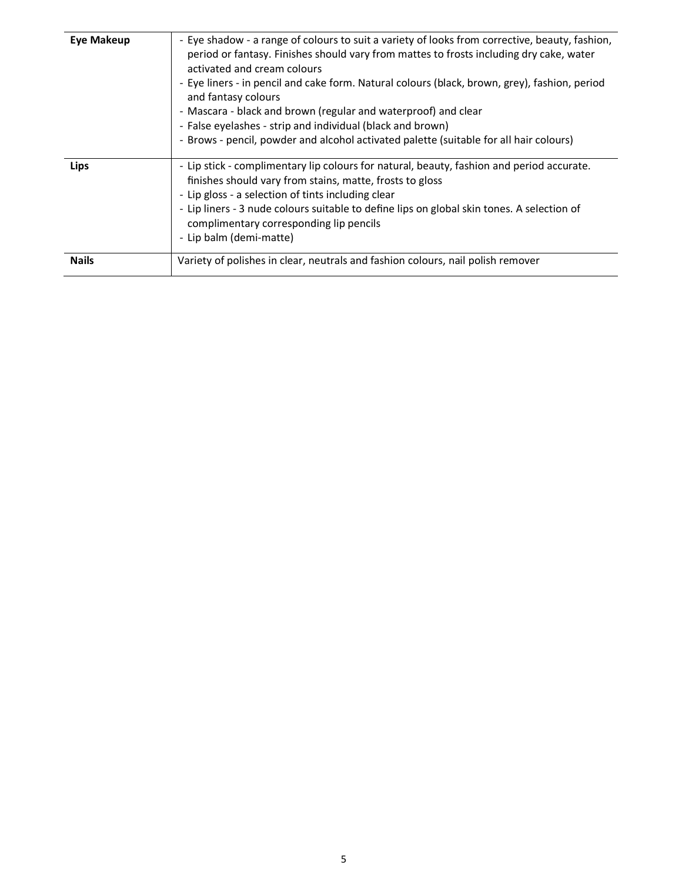| <b>Eye Makeup</b> | - Eye shadow - a range of colours to suit a variety of looks from corrective, beauty, fashion,<br>period or fantasy. Finishes should vary from mattes to frosts including dry cake, water<br>activated and cream colours<br>- Eye liners - in pencil and cake form. Natural colours (black, brown, grey), fashion, period<br>and fantasy colours<br>- Mascara - black and brown (regular and waterproof) and clear<br>- False eyelashes - strip and individual (black and brown)<br>- Brows - pencil, powder and alcohol activated palette (suitable for all hair colours) |
|-------------------|----------------------------------------------------------------------------------------------------------------------------------------------------------------------------------------------------------------------------------------------------------------------------------------------------------------------------------------------------------------------------------------------------------------------------------------------------------------------------------------------------------------------------------------------------------------------------|
| Lips              | - Lip stick - complimentary lip colours for natural, beauty, fashion and period accurate.<br>finishes should vary from stains, matte, frosts to gloss<br>- Lip gloss - a selection of tints including clear<br>- Lip liners - 3 nude colours suitable to define lips on global skin tones. A selection of<br>complimentary corresponding lip pencils<br>- Lip balm (demi-matte)                                                                                                                                                                                            |
| <b>Nails</b>      | Variety of polishes in clear, neutrals and fashion colours, nail polish remover                                                                                                                                                                                                                                                                                                                                                                                                                                                                                            |